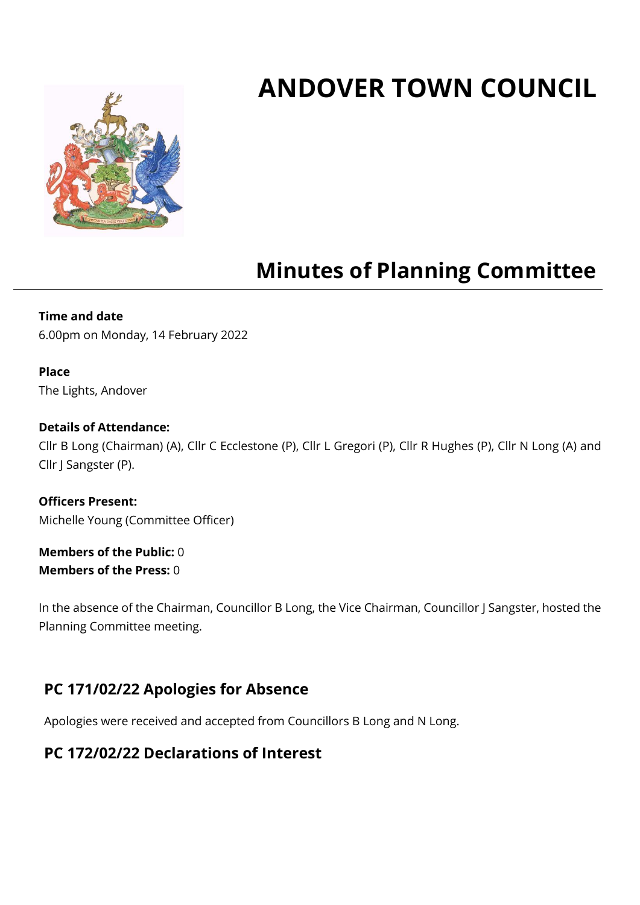# **ANDOVER TOWN COUNCIL**



## **Minutes of Planning Committee**

**Time and date** 6.00pm on Monday, 14 February 2022

#### **Place** The Lights, Andover

#### **Details of Attendance:**

Cllr B Long (Chairman) (A), Cllr C Ecclestone (P), Cllr L Gregori (P), Cllr R Hughes (P), Cllr N Long (A) and Cllr J Sangster (P).

**Officers Present:** Michelle Young (Committee Officer)

**Members of the Public:** 0 **Members of the Press:** 0

In the absence of the Chairman, Councillor B Long, the Vice Chairman, Councillor J Sangster, hosted the Planning Committee meeting.

## **PC 171/02/22 Apologies for Absence**

Apologies were received and accepted from Councillors B Long and N Long.

## **PC 172/02/22 Declarations of Interest**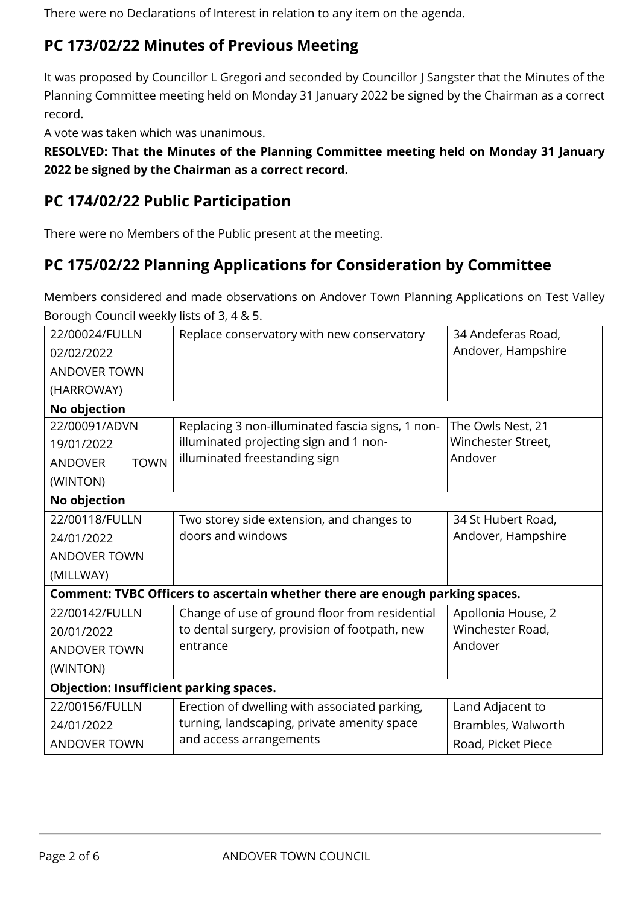There were no Declarations of Interest in relation to any item on the agenda.

## **PC 173/02/22 Minutes of Previous Meeting**

It was proposed by Councillor L Gregori and seconded by Councillor J Sangster that the Minutes of the Planning Committee meeting held on Monday 31 January 2022 be signed by the Chairman as a correct record.

A vote was taken which was unanimous.

**RESOLVED: That the Minutes of the Planning Committee meeting held on Monday 31 January 2022 be signed by the Chairman as a correct record.**

## **PC 174/02/22 Public Participation**

There were no Members of the Public present at the meeting.

## **PC 175/02/22 Planning Applications for Consideration by Committee**

Members considered and made observations on Andover Town Planning Applications on Test Valley Borough Council weekly lists of 3, 4 & 5.

| 22/00024/FULLN                                                               | Replace conservatory with new conservatory       | 34 Andeferas Road, |  |  |
|------------------------------------------------------------------------------|--------------------------------------------------|--------------------|--|--|
| 02/02/2022                                                                   |                                                  | Andover, Hampshire |  |  |
| <b>ANDOVER TOWN</b>                                                          |                                                  |                    |  |  |
| (HARROWAY)                                                                   |                                                  |                    |  |  |
| No objection                                                                 |                                                  |                    |  |  |
| 22/00091/ADVN                                                                | Replacing 3 non-illuminated fascia signs, 1 non- | The Owls Nest, 21  |  |  |
| 19/01/2022                                                                   | illuminated projecting sign and 1 non-           | Winchester Street, |  |  |
| <b>TOWN</b><br><b>ANDOVER</b>                                                | illuminated freestanding sign                    | Andover            |  |  |
| (WINTON)                                                                     |                                                  |                    |  |  |
| No objection                                                                 |                                                  |                    |  |  |
| 22/00118/FULLN                                                               | Two storey side extension, and changes to        | 34 St Hubert Road, |  |  |
| 24/01/2022                                                                   | doors and windows                                | Andover, Hampshire |  |  |
| <b>ANDOVER TOWN</b>                                                          |                                                  |                    |  |  |
| (MILLWAY)                                                                    |                                                  |                    |  |  |
| Comment: TVBC Officers to ascertain whether there are enough parking spaces. |                                                  |                    |  |  |
| 22/00142/FULLN                                                               | Change of use of ground floor from residential   | Apollonia House, 2 |  |  |
| 20/01/2022                                                                   | to dental surgery, provision of footpath, new    | Winchester Road,   |  |  |
| <b>ANDOVER TOWN</b>                                                          | entrance                                         | Andover            |  |  |
| (WINTON)                                                                     |                                                  |                    |  |  |
| <b>Objection: Insufficient parking spaces.</b>                               |                                                  |                    |  |  |
| 22/00156/FULLN                                                               | Erection of dwelling with associated parking,    | Land Adjacent to   |  |  |
| 24/01/2022                                                                   | turning, landscaping, private amenity space      | Brambles, Walworth |  |  |
| <b>ANDOVER TOWN</b>                                                          | and access arrangements                          | Road, Picket Piece |  |  |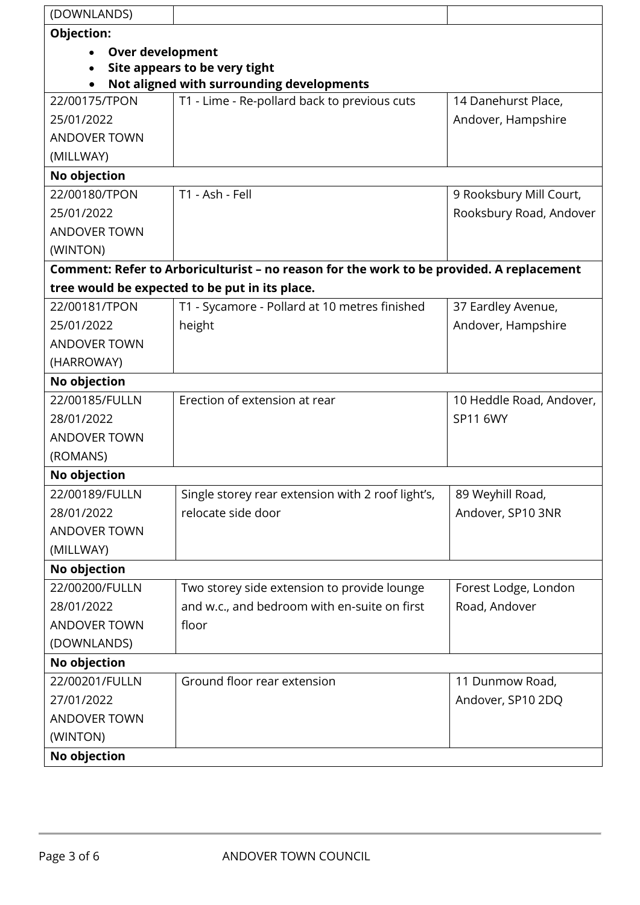| (DOWNLANDS)                   |                                                                                          |                          |  |  |
|-------------------------------|------------------------------------------------------------------------------------------|--------------------------|--|--|
| Objection:                    |                                                                                          |                          |  |  |
| <b>Over development</b>       |                                                                                          |                          |  |  |
| Site appears to be very tight |                                                                                          |                          |  |  |
|                               | Not aligned with surrounding developments                                                |                          |  |  |
| 22/00175/TPON                 | T1 - Lime - Re-pollard back to previous cuts                                             | 14 Danehurst Place,      |  |  |
| 25/01/2022                    |                                                                                          | Andover, Hampshire       |  |  |
| <b>ANDOVER TOWN</b>           |                                                                                          |                          |  |  |
| (MILLWAY)                     |                                                                                          |                          |  |  |
| No objection                  |                                                                                          |                          |  |  |
| 22/00180/TPON                 | T1 - Ash - Fell                                                                          | 9 Rooksbury Mill Court,  |  |  |
| 25/01/2022                    |                                                                                          | Rooksbury Road, Andover  |  |  |
| <b>ANDOVER TOWN</b>           |                                                                                          |                          |  |  |
| (WINTON)                      |                                                                                          |                          |  |  |
|                               | Comment: Refer to Arboriculturist - no reason for the work to be provided. A replacement |                          |  |  |
|                               | tree would be expected to be put in its place.                                           |                          |  |  |
| 22/00181/TPON                 | T1 - Sycamore - Pollard at 10 metres finished                                            | 37 Eardley Avenue,       |  |  |
| 25/01/2022                    | height                                                                                   | Andover, Hampshire       |  |  |
| <b>ANDOVER TOWN</b>           |                                                                                          |                          |  |  |
| (HARROWAY)                    |                                                                                          |                          |  |  |
| No objection                  |                                                                                          |                          |  |  |
| 22/00185/FULLN                | Erection of extension at rear                                                            | 10 Heddle Road, Andover, |  |  |
| 28/01/2022                    |                                                                                          | <b>SP11 6WY</b>          |  |  |
| <b>ANDOVER TOWN</b>           |                                                                                          |                          |  |  |
| (ROMANS)                      |                                                                                          |                          |  |  |
| No objection                  |                                                                                          |                          |  |  |
| 22/00189/FULLN                | Single storey rear extension with 2 roof light's,                                        | 89 Weyhill Road,         |  |  |
| 28/01/2022                    | relocate side door                                                                       | Andover, SP10 3NR        |  |  |
| <b>ANDOVER TOWN</b>           |                                                                                          |                          |  |  |
| (MILLWAY)                     |                                                                                          |                          |  |  |
| No objection                  |                                                                                          |                          |  |  |
| 22/00200/FULLN                | Two storey side extension to provide lounge                                              | Forest Lodge, London     |  |  |
| 28/01/2022                    | and w.c., and bedroom with en-suite on first                                             | Road, Andover            |  |  |
| <b>ANDOVER TOWN</b>           | floor                                                                                    |                          |  |  |
| (DOWNLANDS)                   |                                                                                          |                          |  |  |
| No objection                  |                                                                                          |                          |  |  |
| 22/00201/FULLN                | Ground floor rear extension                                                              | 11 Dunmow Road,          |  |  |
| 27/01/2022                    |                                                                                          | Andover, SP10 2DQ        |  |  |
| <b>ANDOVER TOWN</b>           |                                                                                          |                          |  |  |
| (WINTON)                      |                                                                                          |                          |  |  |
| No objection                  |                                                                                          |                          |  |  |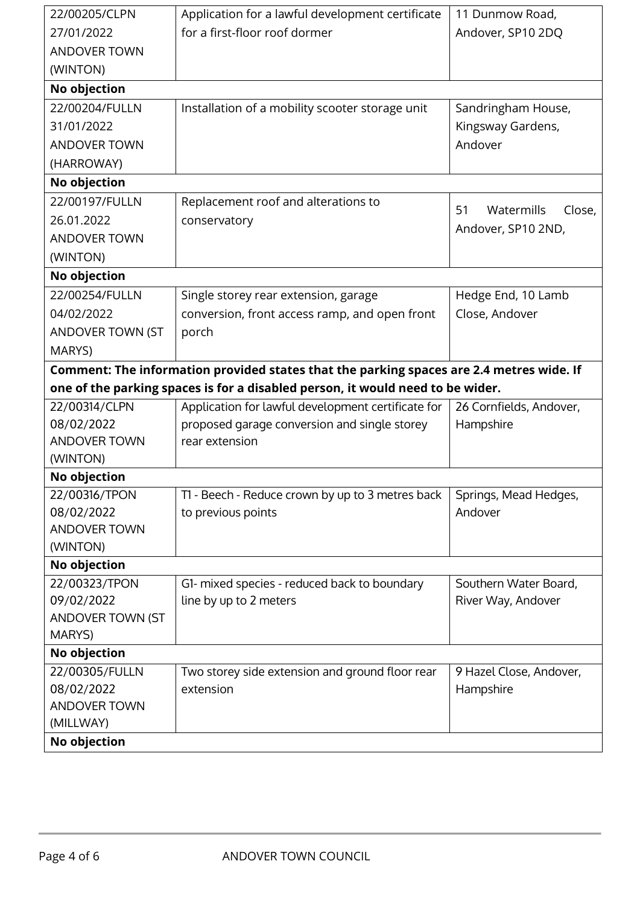| 22/00205/CLPN       | Application for a lawful development certificate                                         | 11 Dunmow Road,            |
|---------------------|------------------------------------------------------------------------------------------|----------------------------|
| 27/01/2022          | for a first-floor roof dormer                                                            | Andover, SP10 2DQ          |
| <b>ANDOVER TOWN</b> |                                                                                          |                            |
| (WINTON)            |                                                                                          |                            |
| No objection        |                                                                                          |                            |
| 22/00204/FULLN      | Installation of a mobility scooter storage unit                                          | Sandringham House,         |
| 31/01/2022          |                                                                                          | Kingsway Gardens,          |
| <b>ANDOVER TOWN</b> |                                                                                          | Andover                    |
| (HARROWAY)          |                                                                                          |                            |
| No objection        |                                                                                          |                            |
| 22/00197/FULLN      | Replacement roof and alterations to                                                      | Watermills<br>51<br>Close, |
| 26.01.2022          | conservatory                                                                             | Andover, SP10 2ND,         |
| <b>ANDOVER TOWN</b> |                                                                                          |                            |
| (WINTON)            |                                                                                          |                            |
| No objection        |                                                                                          |                            |
| 22/00254/FULLN      | Single storey rear extension, garage                                                     | Hedge End, 10 Lamb         |
| 04/02/2022          | conversion, front access ramp, and open front                                            | Close, Andover             |
| ANDOVER TOWN (ST    | porch                                                                                    |                            |
| MARYS)              |                                                                                          |                            |
|                     | Comment: The information provided states that the parking spaces are 2.4 metres wide. If |                            |
|                     | one of the parking spaces is for a disabled person, it would need to be wider.           |                            |
| 22/00314/CLPN       | Application for lawful development certificate for                                       | 26 Cornfields, Andover,    |
| 08/02/2022          | proposed garage conversion and single storey                                             | Hampshire                  |
| <b>ANDOVER TOWN</b> | rear extension                                                                           |                            |
| (WINTON)            |                                                                                          |                            |
| No objection        |                                                                                          |                            |
| 22/00316/TPON       | T1 - Beech - Reduce crown by up to 3 metres back                                         | Springs, Mead Hedges,      |
| 08/02/2022          | to previous points                                                                       | Andover                    |
| <b>ANDOVER TOWN</b> |                                                                                          |                            |
| (WINTON)            |                                                                                          |                            |
| No objection        |                                                                                          |                            |
| 22/00323/TPON       | G1- mixed species - reduced back to boundary                                             | Southern Water Board,      |
| 09/02/2022          | line by up to 2 meters                                                                   | River Way, Andover         |
| ANDOVER TOWN (ST    |                                                                                          |                            |
| MARYS)              |                                                                                          |                            |
| No objection        |                                                                                          |                            |
| 22/00305/FULLN      | Two storey side extension and ground floor rear                                          | 9 Hazel Close, Andover,    |
| 08/02/2022          | extension                                                                                | Hampshire                  |
| <b>ANDOVER TOWN</b> |                                                                                          |                            |
| (MILLWAY)           |                                                                                          |                            |
| No objection        |                                                                                          |                            |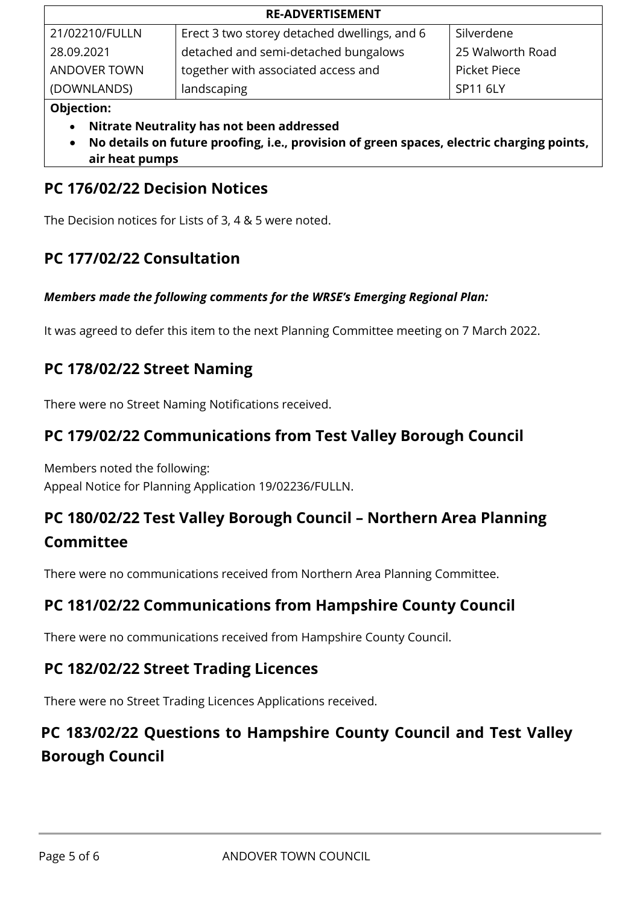| <b>RE-ADVERTISEMENT</b> |                                              |                  |  |  |
|-------------------------|----------------------------------------------|------------------|--|--|
| 21/02210/FULLN          | Erect 3 two storey detached dwellings, and 6 | Silverdene       |  |  |
| 28.09.2021              | detached and semi-detached bungalows         | 25 Walworth Road |  |  |
| <b>ANDOVER TOWN</b>     | together with associated access and          | Picket Piece     |  |  |
| (DOWNLANDS)             | landscaping                                  | SP11 6LY         |  |  |

#### **Objection:**

- **Nitrate Neutrality has not been addressed**
- **No details on future proofing, i.e., provision of green spaces, electric charging points, air heat pumps**

## **PC 176/02/22 Decision Notices**

The Decision notices for Lists of 3, 4 & 5 were noted.

## **PC 177/02/22 Consultation**

#### *Members made the following comments for the WRSE's Emerging Regional Plan:*

It was agreed to defer this item to the next Planning Committee meeting on 7 March 2022.

## **PC 178/02/22 Street Naming**

There were no Street Naming Notifications received.

## **PC 179/02/22 Communications from Test Valley Borough Council**

Members noted the following: Appeal Notice for Planning Application 19/02236/FULLN.

## **PC 180/02/22 Test Valley Borough Council – Northern Area Planning Committee**

There were no communications received from Northern Area Planning Committee.

## **PC 181/02/22 Communications from Hampshire County Council**

There were no communications received from Hampshire County Council.

## **PC 182/02/22 Street Trading Licences**

There were no Street Trading Licences Applications received.

## **PC 183/02/22 Questions to Hampshire County Council and Test Valley Borough Council**